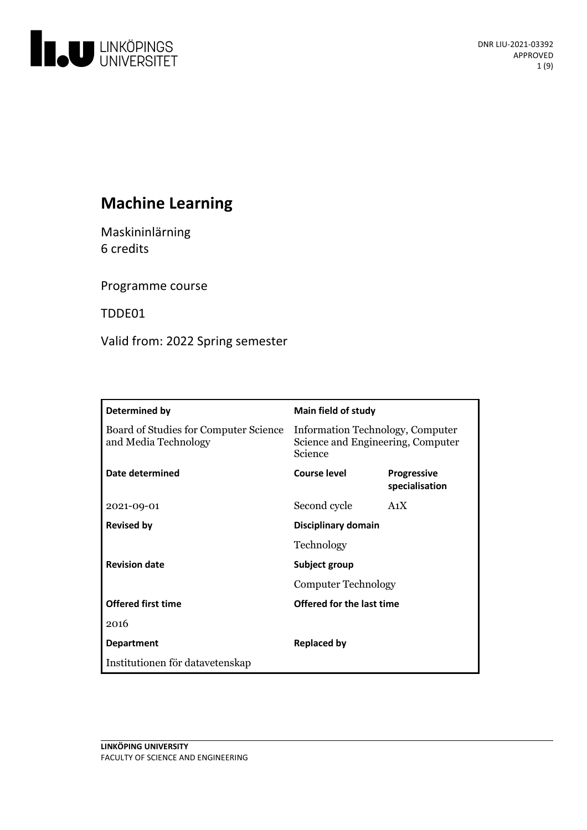

# **Machine Learning**

Maskininlärning 6 credits

Programme course

TDDE01

Valid from: 2022 Spring semester

| Determined by                                                 | <b>Main field of study</b>                                                       |                                      |
|---------------------------------------------------------------|----------------------------------------------------------------------------------|--------------------------------------|
| Board of Studies for Computer Science<br>and Media Technology | Information Technology, Computer<br>Science and Engineering, Computer<br>Science |                                      |
| Date determined                                               | Course level                                                                     | <b>Progressive</b><br>specialisation |
| 2021-09-01                                                    | Second cycle                                                                     | A <sub>1</sub> X                     |
| <b>Revised by</b>                                             | Disciplinary domain                                                              |                                      |
|                                                               | Technology                                                                       |                                      |
| <b>Revision date</b>                                          | Subject group                                                                    |                                      |
|                                                               | <b>Computer Technology</b>                                                       |                                      |
| <b>Offered first time</b>                                     | Offered for the last time                                                        |                                      |
| 2016                                                          |                                                                                  |                                      |
| <b>Department</b>                                             | Replaced by                                                                      |                                      |
| Institutionen för datavetenskap                               |                                                                                  |                                      |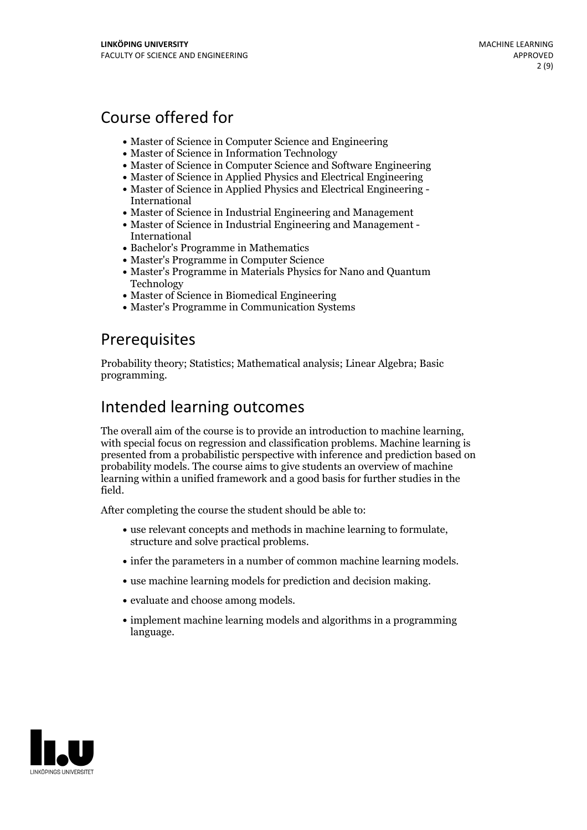# Course offered for

- Master of Science in Computer Science and Engineering
- Master of Science in Information Technology
- Master of Science in Computer Science and Software Engineering
- Master of Science in Applied Physics and Electrical Engineering
- Master of Science in Applied Physics and Electrical Engineering International
- Master of Science in Industrial Engineering and Management
- Master of Science in Industrial Engineering and Management International
- Bachelor's Programme in Mathematics
- Master's Programme in Computer Science
- Master's Programme in Materials Physics for Nano and Quantum Technology
- Master of Science in Biomedical Engineering
- Master's Programme in Communication Systems

# **Prerequisites**

Probability theory; Statistics; Mathematical analysis; Linear Algebra; Basic programming.

# Intended learning outcomes

The overall aim of the course is to provide an introduction to machine learning, with special focus on regression and classification problems. Machine learning is presented from a probabilistic perspective with inference and prediction based on probability models. The course aims to give students an overview of machine learning within a unified framework and a good basis for further studies in the field.

After completing the course the student should be able to:

- use relevant concepts and methods in machine learning to formulate, structure and solve practical problems.
- infer the parameters in a number of common machine learning models.
- use machine learning models for prediction and decision making.
- evaluate and choose among models.
- implement machine learning models and algorithms in a programming language.

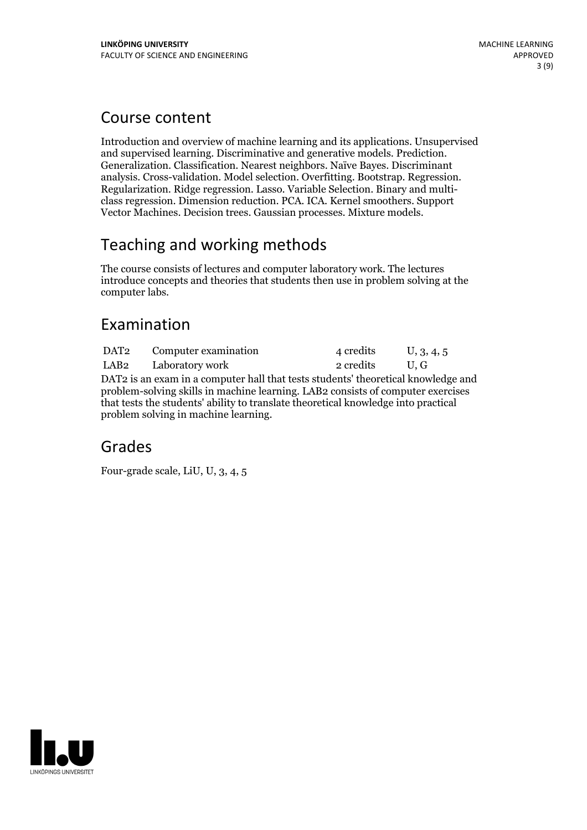## Course content

Introduction and overview of machine learning and its applications. Unsupervised and supervised learning. Discriminative and generative models. Prediction. Generalization. Classification. Nearest neighbors. Naïve Bayes. Discriminant analysis. Cross-validation. Model selection. Overfitting. Bootstrap. Regression.<br>Regularization. Ridge regression. Lasso. Variable Selection. Binary and multiclass regression. Dimension reduction. PCA. ICA. Kernel smoother Vector Machines. Decision trees. Gaussian processes. Mixture models.

# Teaching and working methods

The course consists of lectures and computer laboratory work. The lectures introduce concepts and theories that students then use in problem solving at the computer labs.

# Examination

DAT2 Computer examination 4 credits U, 3, 4, 5 LAB2 Laboratory work 2 credits U, G DAT2 is an exam in a computer hall that tests students' theoretical knowledge and problem-solving skills in machine learning. LAB2 consists of computer exercises that tests the students' ability to translate theoretical knowledge into practical problem solving in machine learning.

## Grades

Four-grade scale, LiU, U, 3, 4, 5

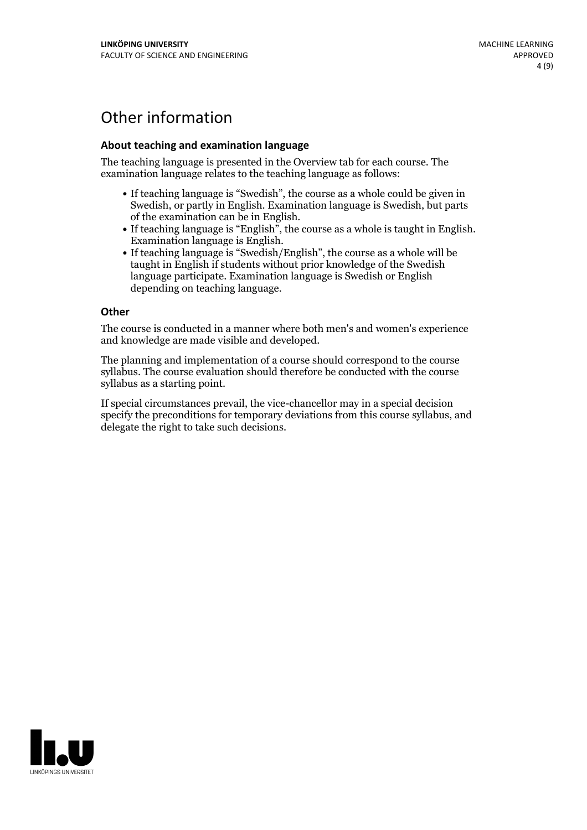# Other information

### **About teaching and examination language**

The teaching language is presented in the Overview tab for each course. The examination language relates to the teaching language as follows:

- If teaching language is "Swedish", the course as a whole could be given in Swedish, or partly in English. Examination language is Swedish, but parts
- of the examination can be in English. If teaching language is "English", the course as <sup>a</sup> whole is taught in English. Examination language is English. If teaching language is "Swedish/English", the course as <sup>a</sup> whole will be
- taught in English if students without prior knowledge of the Swedish language participate. Examination language is Swedish or English depending on teaching language.

#### **Other**

The course is conducted in a manner where both men's and women's experience and knowledge are made visible and developed.

The planning and implementation of a course should correspond to the course syllabus. The course evaluation should therefore be conducted with the course syllabus as a starting point.

If special circumstances prevail, the vice-chancellor may in a special decision specify the preconditions for temporary deviations from this course syllabus, and delegate the right to take such decisions.

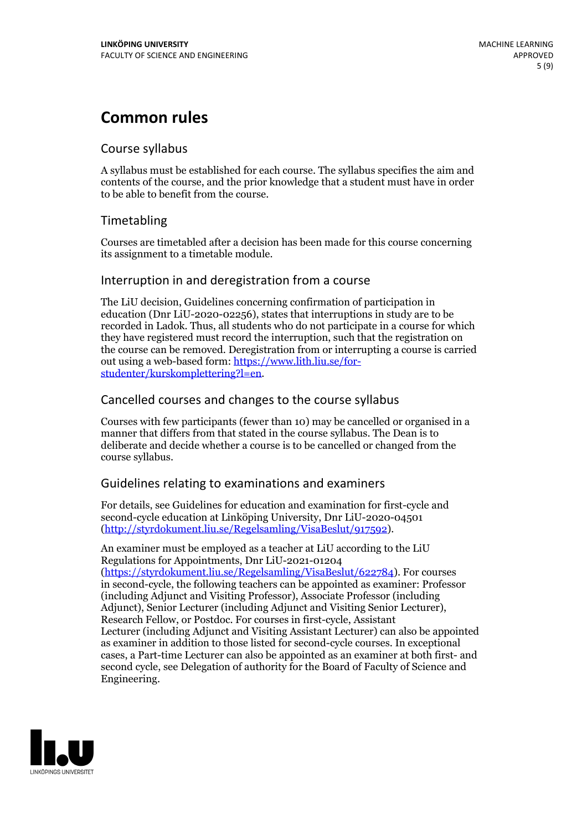# **Common rules**

### Course syllabus

A syllabus must be established for each course. The syllabus specifies the aim and contents of the course, and the prior knowledge that a student must have in order to be able to benefit from the course.

## Timetabling

Courses are timetabled after a decision has been made for this course concerning its assignment to a timetable module.

### Interruption in and deregistration from a course

The LiU decision, Guidelines concerning confirmation of participation in education (Dnr LiU-2020-02256), states that interruptions in study are to be recorded in Ladok. Thus, all students who do not participate in a course for which they have registered must record the interruption, such that the registration on the course can be removed. Deregistration from or interrupting a course is carried out using <sup>a</sup> web-based form: https://www.lith.liu.se/for- [studenter/kurskomplettering?l=en.](https://www.lith.liu.se/for-studenter/kurskomplettering?l=en)

## Cancelled courses and changes to the course syllabus

Courses with few participants (fewer than 10) may be cancelled or organised in a manner that differs from that stated in the course syllabus. The Dean is to deliberate and decide whether a course is to be cancelled or changed from the course syllabus.

## Guidelines relating to examinations and examiners

For details, see Guidelines for education and examination for first-cycle and second-cycle education at Linköping University, Dnr LiU-2020-04501 [\(http://styrdokument.liu.se/Regelsamling/VisaBeslut/917592\)](http://styrdokument.liu.se/Regelsamling/VisaBeslut/917592).

An examiner must be employed as a teacher at LiU according to the LiU Regulations for Appointments, Dnr LiU-2021-01204 [\(https://styrdokument.liu.se/Regelsamling/VisaBeslut/622784](https://styrdokument.liu.se/Regelsamling/VisaBeslut/622784)). For courses in second-cycle, the following teachers can be appointed as examiner: Professor (including Adjunct and Visiting Professor), Associate Professor (including Adjunct), Senior Lecturer (including Adjunct and Visiting Senior Lecturer), Research Fellow, or Postdoc. For courses in first-cycle, Assistant Lecturer (including Adjunct and Visiting Assistant Lecturer) can also be appointed as examiner in addition to those listed for second-cycle courses. In exceptional cases, a Part-time Lecturer can also be appointed as an examiner at both first- and second cycle, see Delegation of authority for the Board of Faculty of Science and Engineering.

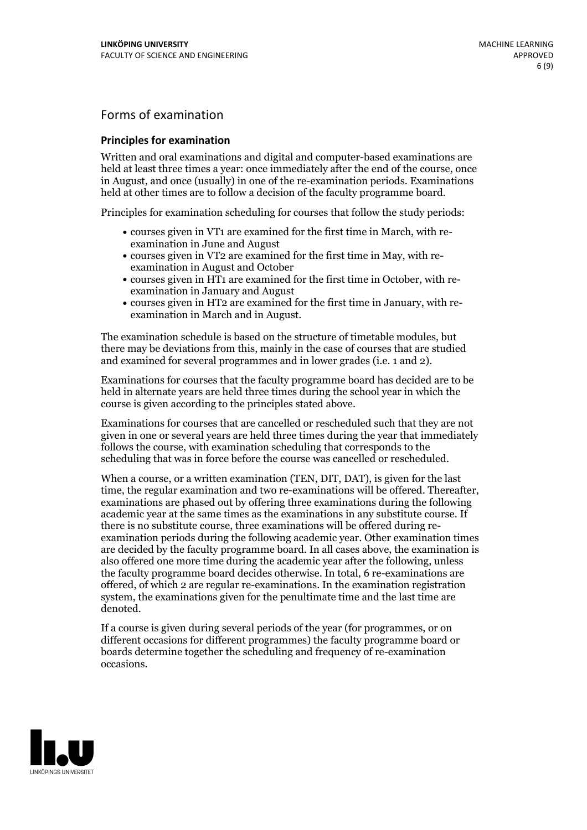## Forms of examination

### **Principles for examination**

Written and oral examinations and digital and computer-based examinations are held at least three times a year: once immediately after the end of the course, once in August, and once (usually) in one of the re-examination periods. Examinations held at other times are to follow a decision of the faculty programme board.

Principles for examination scheduling for courses that follow the study periods:

- courses given in VT1 are examined for the first time in March, with re-examination in June and August
- courses given in VT2 are examined for the first time in May, with re-examination in August and October
- courses given in HT1 are examined for the first time in October, with re-examination in January and August
- courses given in HT2 are examined for the first time in January, with re-examination in March and in August.

The examination schedule is based on the structure of timetable modules, but there may be deviations from this, mainly in the case of courses that are studied and examined for several programmes and in lower grades (i.e. 1 and 2).

Examinations for courses that the faculty programme board has decided are to be held in alternate years are held three times during the school year in which the course is given according to the principles stated above.

Examinations for courses that are cancelled orrescheduled such that they are not given in one or several years are held three times during the year that immediately follows the course, with examination scheduling that corresponds to the scheduling that was in force before the course was cancelled or rescheduled.

When a course, or a written examination (TEN, DIT, DAT), is given for the last time, the regular examination and two re-examinations will be offered. Thereafter, examinations are phased out by offering three examinations during the following academic year at the same times as the examinations in any substitute course. If there is no substitute course, three examinations will be offered during re- examination periods during the following academic year. Other examination times are decided by the faculty programme board. In all cases above, the examination is also offered one more time during the academic year after the following, unless the faculty programme board decides otherwise. In total, 6 re-examinations are offered, of which 2 are regular re-examinations. In the examination registration system, the examinations given for the penultimate time and the last time are denoted.

If a course is given during several periods of the year (for programmes, or on different occasions for different programmes) the faculty programme board or boards determine together the scheduling and frequency of re-examination occasions.

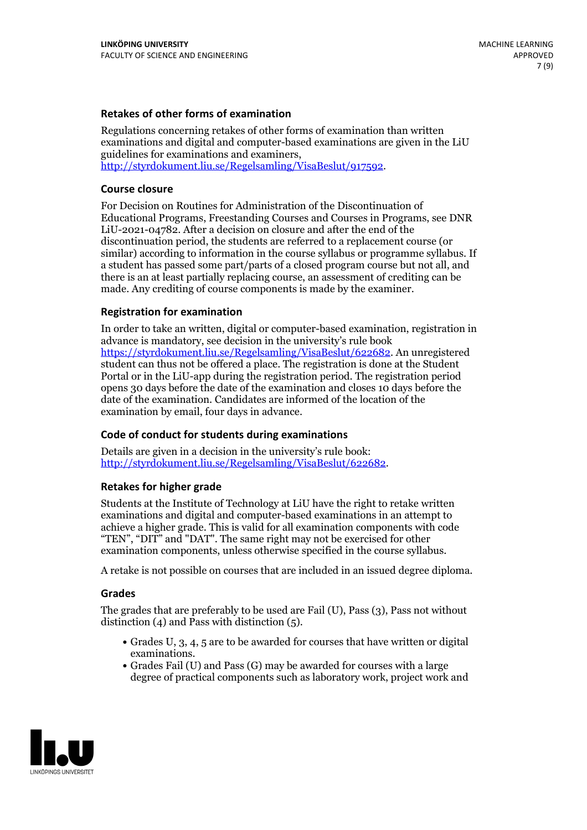### **Retakes of other forms of examination**

Regulations concerning retakes of other forms of examination than written examinations and digital and computer-based examinations are given in the LiU guidelines for examinations and examiners, [http://styrdokument.liu.se/Regelsamling/VisaBeslut/917592.](http://styrdokument.liu.se/Regelsamling/VisaBeslut/917592)

#### **Course closure**

For Decision on Routines for Administration of the Discontinuation of Educational Programs, Freestanding Courses and Courses in Programs, see DNR LiU-2021-04782. After a decision on closure and after the end of the discontinuation period, the students are referred to a replacement course (or similar) according to information in the course syllabus or programme syllabus. If a student has passed some part/parts of a closed program course but not all, and there is an at least partially replacing course, an assessment of crediting can be made. Any crediting of course components is made by the examiner.

#### **Registration for examination**

In order to take an written, digital or computer-based examination, registration in advance is mandatory, see decision in the university's rule book [https://styrdokument.liu.se/Regelsamling/VisaBeslut/622682.](https://styrdokument.liu.se/Regelsamling/VisaBeslut/622682) An unregistered student can thus not be offered a place. The registration is done at the Student Portal or in the LiU-app during the registration period. The registration period opens 30 days before the date of the examination and closes 10 days before the date of the examination. Candidates are informed of the location of the examination by email, four days in advance.

#### **Code of conduct for students during examinations**

Details are given in a decision in the university's rule book: <http://styrdokument.liu.se/Regelsamling/VisaBeslut/622682>.

#### **Retakes for higher grade**

Students at the Institute of Technology at LiU have the right to retake written examinations and digital and computer-based examinations in an attempt to achieve a higher grade. This is valid for all examination components with code "TEN", "DIT" and "DAT". The same right may not be exercised for other examination components, unless otherwise specified in the course syllabus.

A retake is not possible on courses that are included in an issued degree diploma.

#### **Grades**

The grades that are preferably to be used are Fail (U), Pass (3), Pass not without distinction  $(4)$  and Pass with distinction  $(5)$ .

- Grades U, 3, 4, 5 are to be awarded for courses that have written or digital examinations.<br>• Grades Fail (U) and Pass (G) may be awarded for courses with a large
- degree of practical components such as laboratory work, project work and

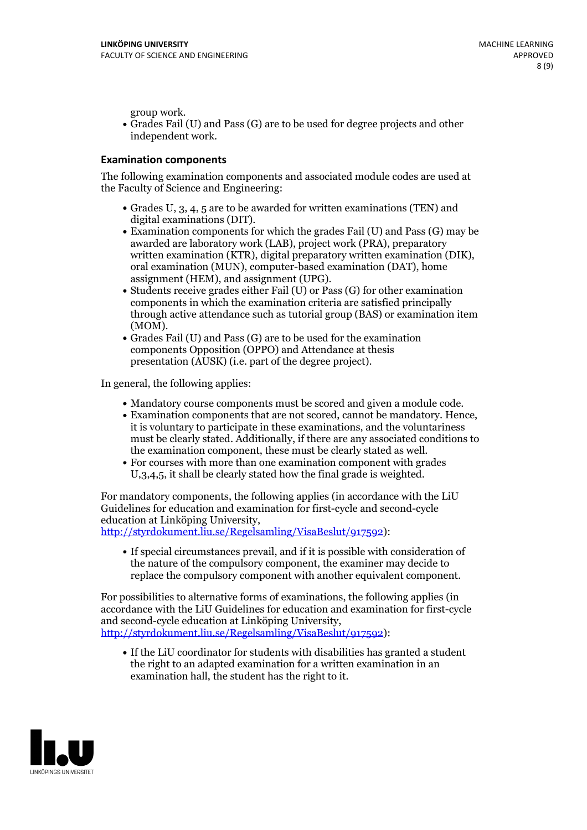group work.<br>• Grades Fail (U) and Pass (G) are to be used for degree projects and other independent work.

### **Examination components**

The following examination components and associated module codes are used at the Faculty of Science and Engineering:

- Grades U, 3, 4, 5 are to be awarded for written examinations (TEN) and
- digital examinations (DIT).<br>• Examination components for which the grades Fail (U) and Pass (G) may be awarded are laboratory work (LAB), project work (PRA), preparatory written examination (KTR), digital preparatory written examination (DIK), oral examination (MUN), computer-based examination (DAT), home
- assignment (HEM), and assignment (UPG).<br>• Students receive grades either Fail (U) or Pass (G) for other examination components in which the examination criteria are satisfied principally through active attendance such as tutorial group (BAS) or examination item
- (MOM).<br>• Grades Fail (U) and Pass (G) are to be used for the examination components Opposition (OPPO) and Attendance at thesis presentation (AUSK) (i.e. part of the degree project).

In general, the following applies:

- 
- Mandatory course components must be scored and given <sup>a</sup> module code. Examination components that are not scored, cannot be mandatory. Hence, it is voluntary to participate in these examinations, and the voluntariness must be clearly stated. Additionally, if there are any associated conditions to
- the examination component, these must be clearly stated as well.<br>• For courses with more than one examination component with grades U,3,4,5, it shall be clearly stated how the final grade is weighted.

For mandatory components, the following applies (in accordance with the LiU Guidelines for education and examination for first-cycle and second-cycle education at Linköping University,<br>[http://styrdokument.liu.se/Regelsamling/VisaBeslut/917592\)](http://styrdokument.liu.se/Regelsamling/VisaBeslut/917592):

If special circumstances prevail, and if it is possible with consideration of the nature of the compulsory component, the examiner may decide to replace the compulsory component with another equivalent component.

For possibilities to alternative forms of examinations, the following applies (in accordance with the LiU Guidelines for education and examination for first-cycle [http://styrdokument.liu.se/Regelsamling/VisaBeslut/917592\)](http://styrdokument.liu.se/Regelsamling/VisaBeslut/917592):

If the LiU coordinator for students with disabilities has granted a student the right to an adapted examination for a written examination in an examination hall, the student has the right to it.